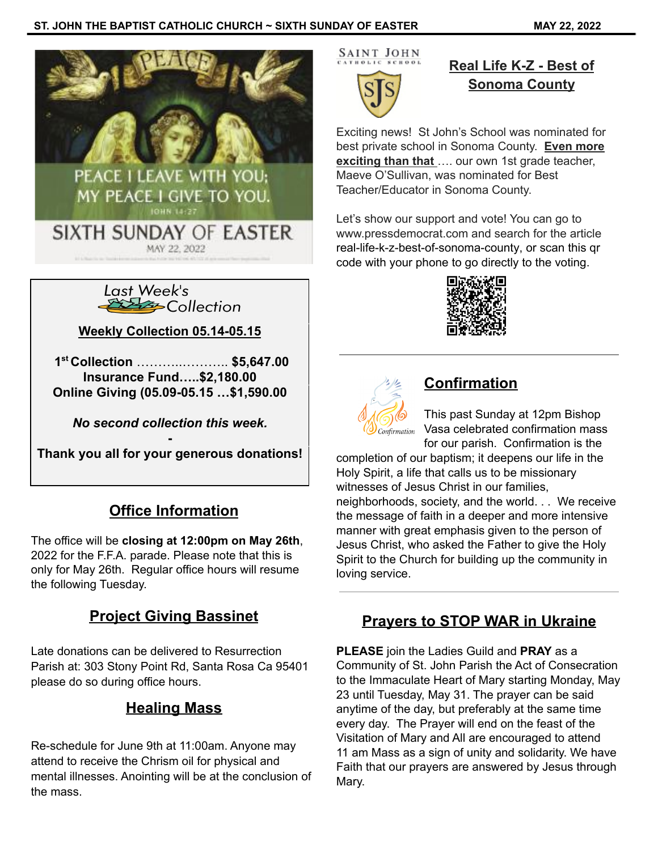### **ST. JOHN THE BAPTIST CATHOLIC CHURCH ~ SIXTH SUNDAY OF EASTER MAY 22, 2022**





**Weekly Collection 05.14-05.15**

**1 st Collection** ………..……….. **\$5,647.00 Insurance Fund…..\$2,180.00 Online Giving (05.09-05.15 …\$1,590.00**

*No second collection this week.*

**- Thank you all for your generous donations!**

## **Office Information**

The office will be **closing at 12:00pm on May 26th**, 2022 for the F.F.A. parade. Please note that this is only for May 26th. Regular office hours will resume the following Tuesday.

## **Project Giving Bassinet**

Late donations can be delivered to Resurrection Parish at: 303 Stony Point Rd, Santa Rosa Ca 95401 please do so during office hours.

## **Healing Mass**

Re-schedule for June 9th at 11:00am. Anyone may attend to receive the Chrism oil for physical and mental illnesses. Anointing will be at the conclusion of the mass.

SAINT JOHN

# **Real Life K-Z - Best of Sonoma County**

Exciting news! St John's School was nominated for best private school in Sonoma County. **Even more exciting than that** …. our own 1st grade teacher, Maeve O'Sullivan, was nominated for Best Teacher/Educator in Sonoma County.

Let's show our support and vote! You can go to www.pressdemocrat.com and search for the article [real-life-k-z-best-of-sonoma-county](https://www.pressdemocrat.com/article/multimedia/real-life-k-z-best-of-sonoma-county/), or scan this qr code with your phone to go directly to the voting.





## **Confirmation**

This past Sunday at 12pm Bishop Vasa celebrated confirmation mass for our parish. Confirmation is the

completion of our baptism; it deepens our life in the Holy Spirit, a life that calls us to be missionary witnesses of Jesus Christ in our families, neighborhoods, society, and the world. . . We receive the message of faith in a deeper and more intensive manner with great emphasis given to the person of Jesus Christ, who asked the Father to give the Holy Spirit to the Church for building up the community in loving service.

## **Prayers to STOP WAR in Ukraine**

**PLEASE** join the Ladies Guild and **PRAY** as a Community of St. John Parish the Act of Consecration to the Immaculate Heart of Mary starting Monday, May 23 until Tuesday, May 31. The prayer can be said anytime of the day, but preferably at the same time every day. The Prayer will end on the feast of the Visitation of Mary and All are encouraged to attend 11 am Mass as a sign of unity and solidarity. We have Faith that our prayers are answered by Jesus through Mary.